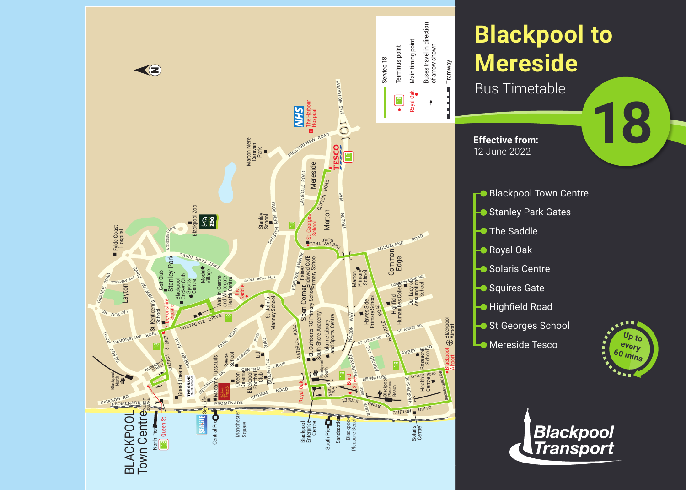